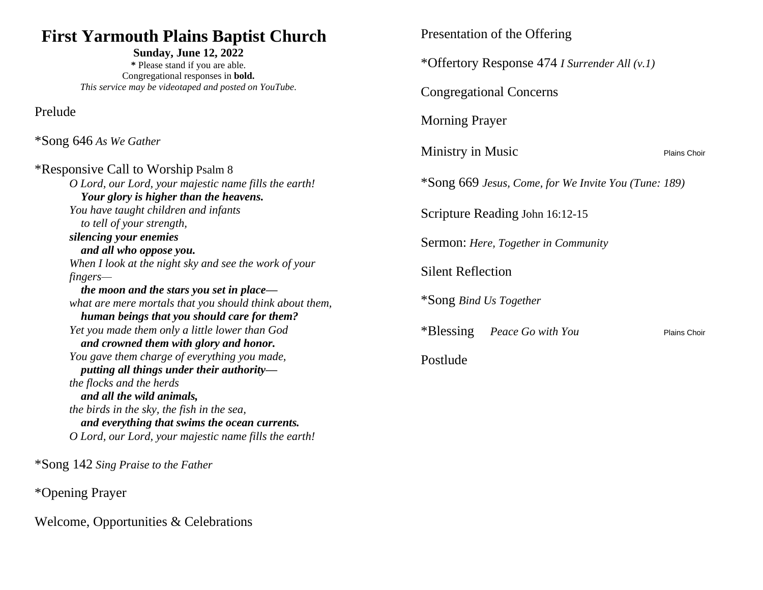## **First Yarmouth Plains Baptist Church**

**Sunday, June 12, 2022 \*** Please stand if you are able. Congregational responses in **bold.** *This service may be videotaped and posted on YouTube.*

Prelude

\*Song 646 *As We Gather*

\*Responsive Call to Worship Psalm 8 *O Lord, our Lord, your majestic name fills the earth! Your glory is higher than the heavens. You have taught children and infants to tell of your strength, silencing your enemies and all who oppose you. When I look at the night sky and see the work of your fingers the moon and the stars you set in place what are mere mortals that you should think about them, human beings that you should care for them? Yet you made them only a little lower than God and crowned them with glory and honor. You gave them charge of everything you made, putting all things under their authority the flocks and the herds and all the wild animals, the birds in the sky, the fish in the sea, and everything that swims the ocean currents. O Lord, our Lord, your majestic name fills the earth!*

\*Song 142 *Sing Praise to the Father*

\*Opening Prayer

Welcome, Opportunities & Celebrations

Presentation of the Offering

\*Offertory Response 474 *I Surrender All (v.1)*

Congregational Concerns

Morning Prayer

Ministry in Music Plains Choir

\*Song 669 *Jesus, Come, for We Invite You (Tune: 189)*

Scripture Reading John 16:12-15

Sermon: *Here, Together in Community*

Silent Reflection

\*Song *Bind Us Together*

\*Blessing *Peace Go with You* Plains Choir

Postlude